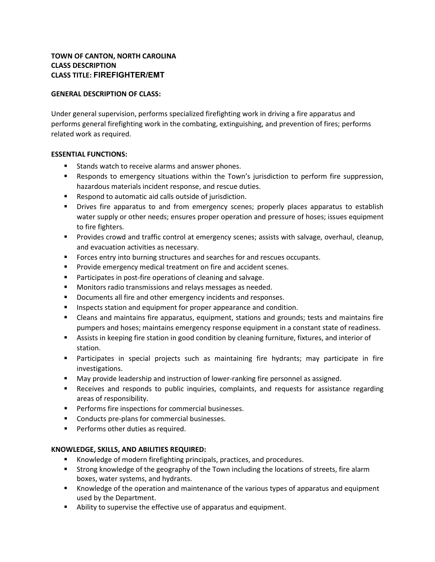# **TOWN OF CANTON, NORTH CAROLINA CLASS DESCRIPTION CLASS TITLE: FIREFIGHTER/EMT**

## **GENERAL DESCRIPTION OF CLASS:**

Under general supervision, performs specialized firefighting work in driving a fire apparatus and performs general firefighting work in the combating, extinguishing, and prevention of fires; performs related work as required.

### **ESSENTIAL FUNCTIONS:**

- Stands watch to receive alarms and answer phones.
- Responds to emergency situations within the Town's jurisdiction to perform fire suppression, hazardous materials incident response, and rescue duties.
- Respond to automatic aid calls outside of jurisdiction.
- **•** Drives fire apparatus to and from emergency scenes; properly places apparatus to establish water supply or other needs; ensures proper operation and pressure of hoses; issues equipment to fire fighters.
- **•** Provides crowd and traffic control at emergency scenes; assists with salvage, overhaul, cleanup, and evacuation activities as necessary.
- Forces entry into burning structures and searches for and rescues occupants.
- Provide emergency medical treatment on fire and accident scenes.
- Participates in post-fire operations of cleaning and salvage.
- Monitors radio transmissions and relays messages as needed.
- Documents all fire and other emergency incidents and responses.
- **E** Inspects station and equipment for proper appearance and condition.
- Cleans and maintains fire apparatus, equipment, stations and grounds; tests and maintains fire pumpers and hoses; maintains emergency response equipment in a constant state of readiness.
- Assists in keeping fire station in good condition by cleaning furniture, fixtures, and interior of station.
- **■** Participates in special projects such as maintaining fire hydrants; may participate in fire investigations.
- May provide leadership and instruction of lower-ranking fire personnel as assigned.
- **EXECUTE:** Receives and responds to public inquiries, complaints, and requests for assistance regarding areas of responsibility.
- Performs fire inspections for commercial businesses.
- Conducts pre-plans for commercial businesses.
- **•** Performs other duties as required.

### **KNOWLEDGE, SKILLS, AND ABILITIES REQUIRED:**

- Knowledge of modern firefighting principals, practices, and procedures.
- **Example 1** Strong knowledge of the geography of the Town including the locations of streets, fire alarm boxes, water systems, and hydrants.
- Knowledge of the operation and maintenance of the various types of apparatus and equipment used by the Department.
- Ability to supervise the effective use of apparatus and equipment.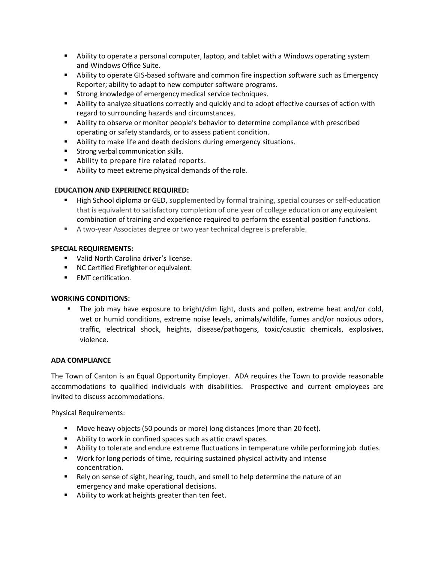- Ability to operate a personal computer, laptop, and tablet with a Windows operating system and Windows Office Suite.
- **E** Ability to operate GIS-based software and common fire inspection software such as Emergency Reporter; ability to adapt to new computer software programs.
- Strong knowledge of emergency medical service techniques.
- **EXECT** Ability to analyze situations correctly and quickly and to adopt effective courses of action with regard to surrounding hazards and circumstances.
- **EXECT** Ability to observe or monitor people's behavior to determine compliance with prescribed operating or safety standards, or to assess patient condition.
- Ability to make life and death decisions during emergency situations.
- **EXECT:** Strong verbal communication skills.
- Ability to prepare fire related reports.
- Ability to meet extreme physical demands of the role.

### **EDUCATION AND EXPERIENCE REQUIRED:**

- **E** High School diploma or GED, supplemented by formal training, special courses or self-education that is equivalent to satisfactory completion of one year of college education or any equivalent combination of training and experience required to perform the essential position functions.
- A two-year Associates degree or two year technical degree is preferable.

### **SPECIAL REQUIREMENTS:**

- Valid North Carolina driver's license.
- NC Certified Firefighter or equivalent.
- **■** EMT certification.

### **WORKING CONDITIONS:**

■ The job may have exposure to bright/dim light, dusts and pollen, extreme heat and/or cold, wet or humid conditions, extreme noise levels, animals/wildlife, fumes and/or noxious odors, traffic, electrical shock, heights, disease/pathogens, toxic/caustic chemicals, explosives, violence.

### **ADA COMPLIANCE**

The Town of Canton is an Equal Opportunity Employer. ADA requires the Town to provide reasonable accommodations to qualified individuals with disabilities. Prospective and current employees are invited to discuss accommodations.

Physical Requirements:

- Move heavy objects (50 pounds or more) long distances (more than 20 feet).
- Ability to work in confined spaces such as attic crawl spaces.
- **■** Ability to tolerate and endure extreme fluctuations in temperature while performingjob duties.
- Work for long periods of time, requiring sustained physical activity and intense concentration.
- Rely on sense of sight, hearing, touch, and smell to help determine the nature of an emergency and make operational decisions.
- Ability to work at heights greater than ten feet.